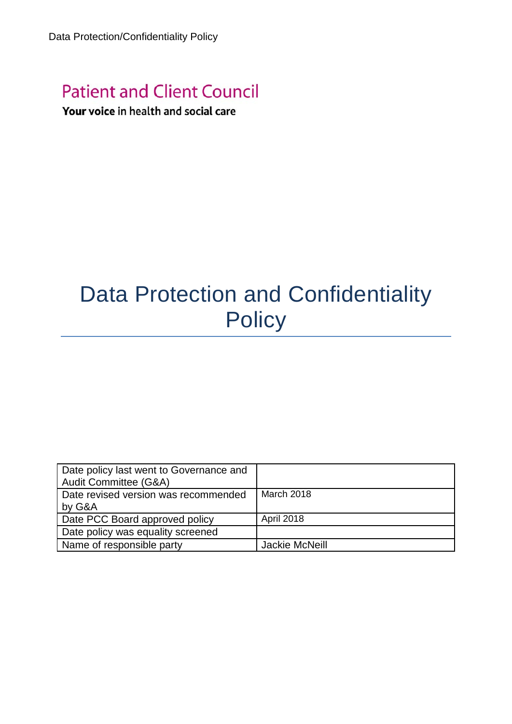## **Patient and Client Council**

### Your voice in health and social care

# Data Protection and Confidentiality **Policy**

| Date policy last went to Governance and<br>Audit Committee (G&A) |                       |
|------------------------------------------------------------------|-----------------------|
| Date revised version was recommended                             | March 2018            |
| by G&A                                                           |                       |
| Date PCC Board approved policy                                   | <b>April 2018</b>     |
| Date policy was equality screened                                |                       |
| Name of responsible party                                        | <b>Jackie McNeill</b> |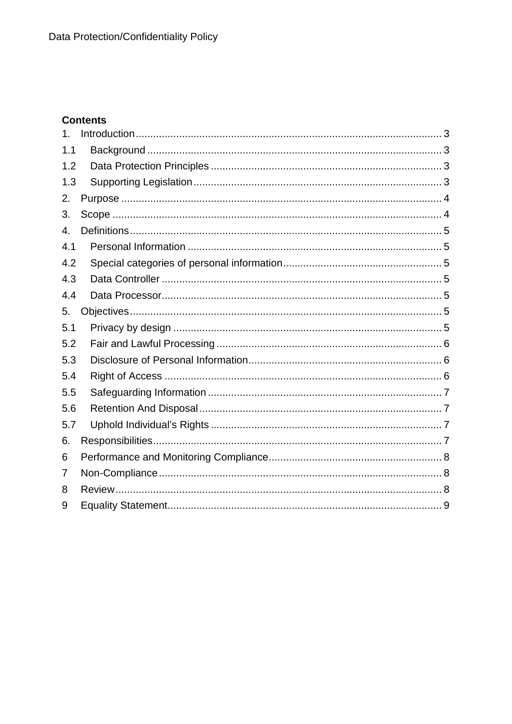#### **Contents**

| 1 <sub>1</sub> |  |
|----------------|--|
| 1.1            |  |
| 1.2            |  |
| 1.3            |  |
| 2.             |  |
| 3.             |  |
| 4.             |  |
| 4.1            |  |
| 4.2            |  |
| 4.3            |  |
| 4.4            |  |
| 5.             |  |
| 5.1            |  |
| 5.2            |  |
| 5.3            |  |
| 5.4            |  |
| 5.5            |  |
| 5.6            |  |
| 5.7            |  |
| 6.             |  |
| 6              |  |
| 7              |  |
| 8              |  |
| 9              |  |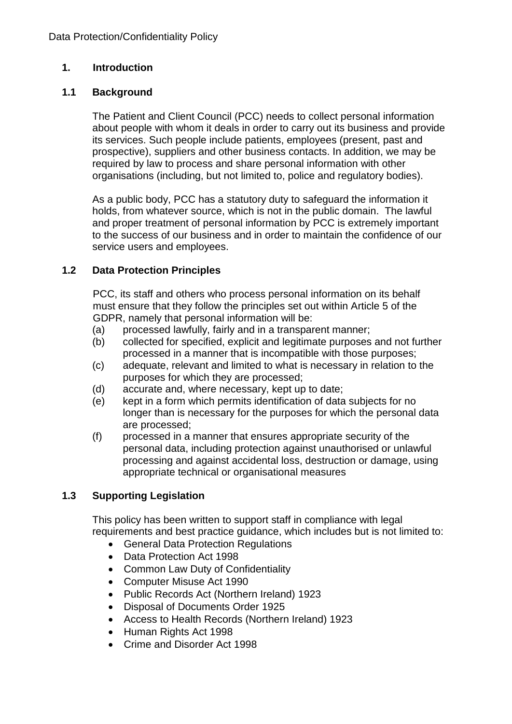#### <span id="page-2-0"></span>**1. Introduction**

#### <span id="page-2-1"></span>**1.1 Background**

The Patient and Client Council (PCC) needs to collect personal information about people with whom it deals in order to carry out its business and provide its services. Such people include patients, employees (present, past and prospective), suppliers and other business contacts. In addition, we may be required by law to process and share personal information with other organisations (including, but not limited to, police and regulatory bodies).

As a public body, PCC has a statutory duty to safeguard the information it holds, from whatever source, which is not in the public domain. The lawful and proper treatment of personal information by PCC is extremely important to the success of our business and in order to maintain the confidence of our service users and employees.

#### <span id="page-2-2"></span>**1.2 Data Protection Principles**

PCC, its staff and others who process personal information on its behalf must ensure that they follow the principles set out within Article 5 of the GDPR, namely that personal information will be:

- (a) processed lawfully, fairly and in a transparent manner;
- (b) collected for specified, explicit and legitimate purposes and not further processed in a manner that is incompatible with those purposes;
- (c) adequate, relevant and limited to what is necessary in relation to the purposes for which they are processed;
- (d) accurate and, where necessary, kept up to date;
- (e) kept in a form which permits identification of data subjects for no longer than is necessary for the purposes for which the personal data are processed;
- (f) processed in a manner that ensures appropriate security of the personal data, including protection against unauthorised or unlawful processing and against accidental loss, destruction or damage, using appropriate technical or organisational measures

#### <span id="page-2-3"></span>**1.3 Supporting Legislation**

This policy has been written to support staff in compliance with legal requirements and best practice guidance, which includes but is not limited to:

- General Data Protection Regulations
- Data Protection Act 1998
- Common Law Duty of Confidentiality
- Computer Misuse Act 1990
- Public Records Act (Northern Ireland) 1923
- Disposal of Documents Order 1925
- Access to Health Records (Northern Ireland) 1923
- Human Rights Act 1998
- Crime and Disorder Act 1998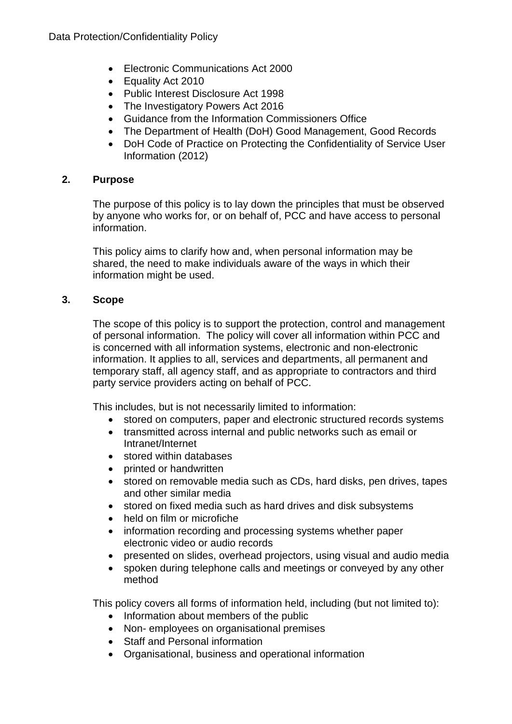- Electronic Communications Act 2000
- Equality Act 2010
- Public Interest Disclosure Act 1998
- The Investigatory Powers Act 2016
- Guidance from the Information Commissioners Office
- The Department of Health (DoH) Good Management, Good Records
- DoH Code of Practice on Protecting the Confidentiality of Service User Information (2012)

#### <span id="page-3-0"></span>**2. Purpose**

The purpose of this policy is to lay down the principles that must be observed by anyone who works for, or on behalf of, PCC and have access to personal information.

This policy aims to clarify how and, when personal information may be shared, the need to make individuals aware of the ways in which their information might be used.

#### <span id="page-3-1"></span>**3. Scope**

The scope of this policy is to support the protection, control and management of personal information. The policy will cover all information within PCC and is concerned with all information systems, electronic and non-electronic information. It applies to all, services and departments, all permanent and temporary staff, all agency staff, and as appropriate to contractors and third party service providers acting on behalf of PCC.

This includes, but is not necessarily limited to information:

- stored on computers, paper and electronic structured records systems
- transmitted across internal and public networks such as email or Intranet/Internet
- stored within databases
- printed or handwritten
- stored on removable media such as CDs, hard disks, pen drives, tapes and other similar media
- stored on fixed media such as hard drives and disk subsystems
- held on film or microfiche
- information recording and processing systems whether paper electronic video or audio records
- presented on slides, overhead projectors, using visual and audio media
- spoken during telephone calls and meetings or conveyed by any other method

This policy covers all forms of information held, including (but not limited to):

- Information about members of the public
- Non- employees on organisational premises
- Staff and Personal information
- Organisational, business and operational information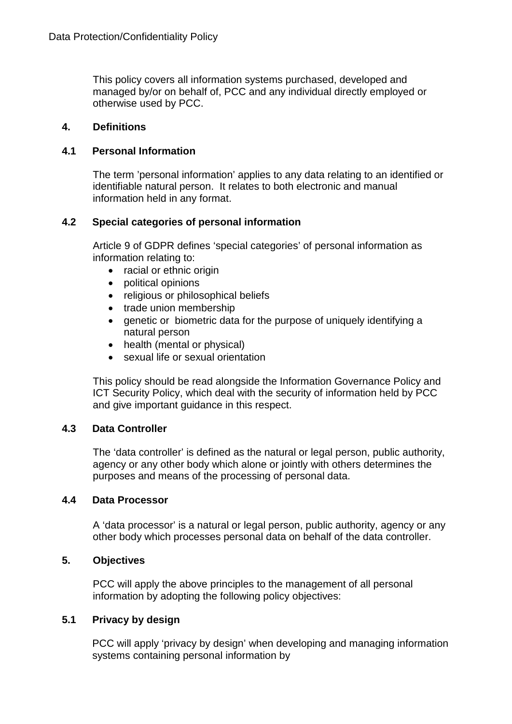This policy covers all information systems purchased, developed and managed by/or on behalf of, PCC and any individual directly employed or otherwise used by PCC.

#### <span id="page-4-0"></span>**4. Definitions**

#### <span id="page-4-1"></span>**4.1 Personal Information**

The term 'personal information' applies to any data relating to an identified or identifiable natural person. It relates to both electronic and manual information held in any format.

#### <span id="page-4-2"></span>**4.2 Special categories of personal information**

Article 9 of GDPR defines 'special categories' of personal information as information relating to:

- racial or ethnic origin
- political opinions
- religious or philosophical beliefs
- trade union membership
- genetic or biometric data for the purpose of uniquely identifying a natural person
- health (mental or physical)
- sexual life or sexual orientation

This policy should be read alongside the Information Governance Policy and ICT Security Policy, which deal with the security of information held by PCC and give important guidance in this respect.

#### <span id="page-4-3"></span>**4.3 Data Controller**

The 'data controller' is defined as the natural or legal person, public authority, agency or any other body which alone or jointly with others determines the purposes and means of the processing of personal data.

#### <span id="page-4-4"></span>**4.4 Data Processor**

A 'data processor' is a natural or legal person, public authority, agency or any other body which processes personal data on behalf of the data controller.

#### <span id="page-4-5"></span>**5. Objectives**

PCC will apply the above principles to the management of all personal information by adopting the following policy objectives:

#### <span id="page-4-6"></span>**5.1 Privacy by design**

PCC will apply 'privacy by design' when developing and managing information systems containing personal information by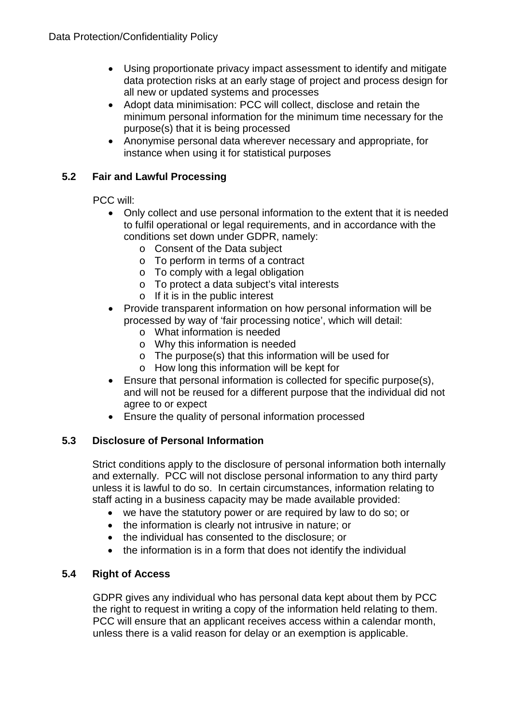- Using proportionate privacy impact assessment to identify and mitigate data protection risks at an early stage of project and process design for all new or updated systems and processes
- Adopt data minimisation: PCC will collect, disclose and retain the minimum personal information for the minimum time necessary for the purpose(s) that it is being processed
- Anonymise personal data wherever necessary and appropriate, for instance when using it for statistical purposes

#### <span id="page-5-0"></span>**5.2 Fair and Lawful Processing**

PCC will:

- Only collect and use personal information to the extent that it is needed to fulfil operational or legal requirements, and in accordance with the conditions set down under GDPR, namely:
	- o Consent of the Data subject
	- o To perform in terms of a contract
	- o To comply with a legal obligation
	- o To protect a data subject's vital interests
	- o If it is in the public interest
- Provide transparent information on how personal information will be processed by way of 'fair processing notice', which will detail:
	- o What information is needed
	- o Why this information is needed
	- o The purpose(s) that this information will be used for
	- o How long this information will be kept for
- Ensure that personal information is collected for specific purpose(s), and will not be reused for a different purpose that the individual did not agree to or expect
- Ensure the quality of personal information processed

#### <span id="page-5-1"></span>**5.3 Disclosure of Personal Information**

Strict conditions apply to the disclosure of personal information both internally and externally. PCC will not disclose personal information to any third party unless it is lawful to do so. In certain circumstances, information relating to staff acting in a business capacity may be made available provided:

- we have the statutory power or are required by law to do so; or
- the information is clearly not intrusive in nature; or
- the individual has consented to the disclosure; or
- the information is in a form that does not identify the individual

#### <span id="page-5-2"></span>**5.4 Right of Access**

GDPR gives any individual who has personal data kept about them by PCC the right to request in writing a copy of the information held relating to them. PCC will ensure that an applicant receives access within a calendar month, unless there is a valid reason for delay or an exemption is applicable.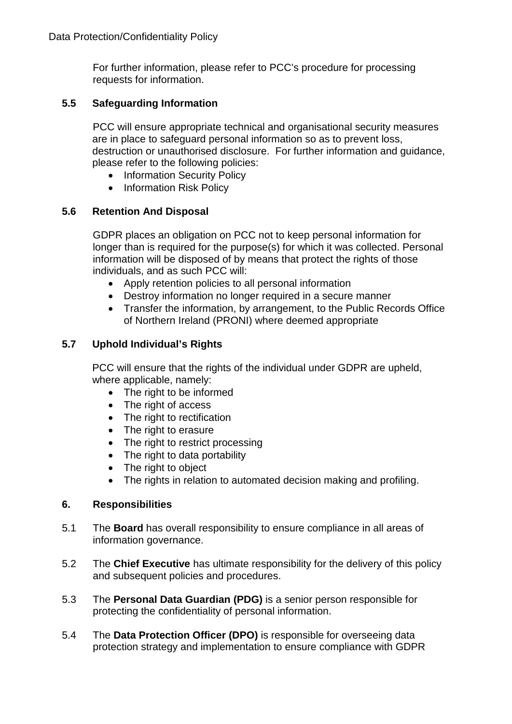For further information, please refer to PCC's procedure for processing requests for information.

#### <span id="page-6-0"></span>**5.5 Safeguarding Information**

PCC will ensure appropriate technical and organisational security measures are in place to safeguard personal information so as to prevent loss, destruction or unauthorised disclosure. For further information and guidance, please refer to the following policies:

- Information Security Policy
- Information Risk Policy

#### <span id="page-6-1"></span>**5.6 Retention And Disposal**

GDPR places an obligation on PCC not to keep personal information for longer than is required for the purpose(s) for which it was collected. Personal information will be disposed of by means that protect the rights of those individuals, and as such PCC will:

- Apply retention policies to all personal information
- Destroy information no longer required in a secure manner
- Transfer the information, by arrangement, to the Public Records Office of Northern Ireland (PRONI) where deemed appropriate

#### <span id="page-6-2"></span>**5.7 Uphold Individual's Rights**

PCC will ensure that the rights of the individual under GDPR are upheld, where applicable, namely:

- The right to be informed
- The right of access
- The right to rectification
- The right to erasure
- The right to restrict processing
- The right to data portability
- The right to object
- The rights in relation to automated decision making and profiling.

#### <span id="page-6-3"></span>**6. Responsibilities**

- 5.1 The **Board** has overall responsibility to ensure compliance in all areas of information governance.
- 5.2 The **Chief Executive** has ultimate responsibility for the delivery of this policy and subsequent policies and procedures.
- 5.3 The **Personal Data Guardian (PDG)** is a senior person responsible for protecting the confidentiality of personal information.
- 5.4 The **Data Protection Officer (DPO)** is responsible for overseeing data protection strategy and implementation to ensure compliance with GDPR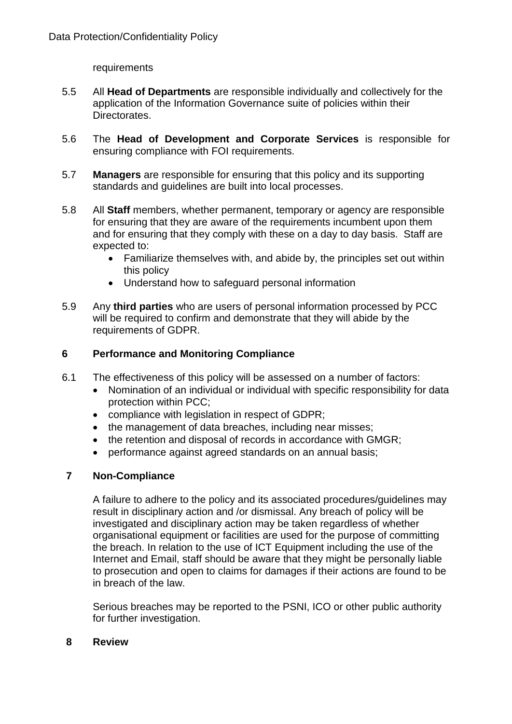requirements

- 5.5 All **Head of Departments** are responsible individually and collectively for the application of the Information Governance suite of policies within their Directorates.
- 5.6 The **Head of Development and Corporate Services** is responsible for ensuring compliance with FOI requirements.
- 5.7 **Managers** are responsible for ensuring that this policy and its supporting standards and guidelines are built into local processes.
- 5.8 All **Staff** members, whether permanent, temporary or agency are responsible for ensuring that they are aware of the requirements incumbent upon them and for ensuring that they comply with these on a day to day basis. Staff are expected to:
	- Familiarize themselves with, and abide by, the principles set out within this policy
	- Understand how to safeguard personal information
- 5.9 Any **third parties** who are users of personal information processed by PCC will be required to confirm and demonstrate that they will abide by the requirements of GDPR.

#### <span id="page-7-0"></span>**6 Performance and Monitoring Compliance**

- 6.1 The effectiveness of this policy will be assessed on a number of factors:
	- Nomination of an individual or individual with specific responsibility for data protection within PCC;
	- compliance with legislation in respect of GDPR;
	- the management of data breaches, including near misses;
	- the retention and disposal of records in accordance with GMGR;
	- performance against agreed standards on an annual basis;

#### <span id="page-7-1"></span>**7 Non-Compliance**

A failure to adhere to the policy and its associated procedures/guidelines may result in disciplinary action and /or dismissal. Any breach of policy will be investigated and disciplinary action may be taken regardless of whether organisational equipment or facilities are used for the purpose of committing the breach. In relation to the use of ICT Equipment including the use of the Internet and Email, staff should be aware that they might be personally liable to prosecution and open to claims for damages if their actions are found to be in breach of the law.

Serious breaches may be reported to the PSNI, ICO or other public authority for further investigation.

#### <span id="page-7-2"></span>**8 Review**